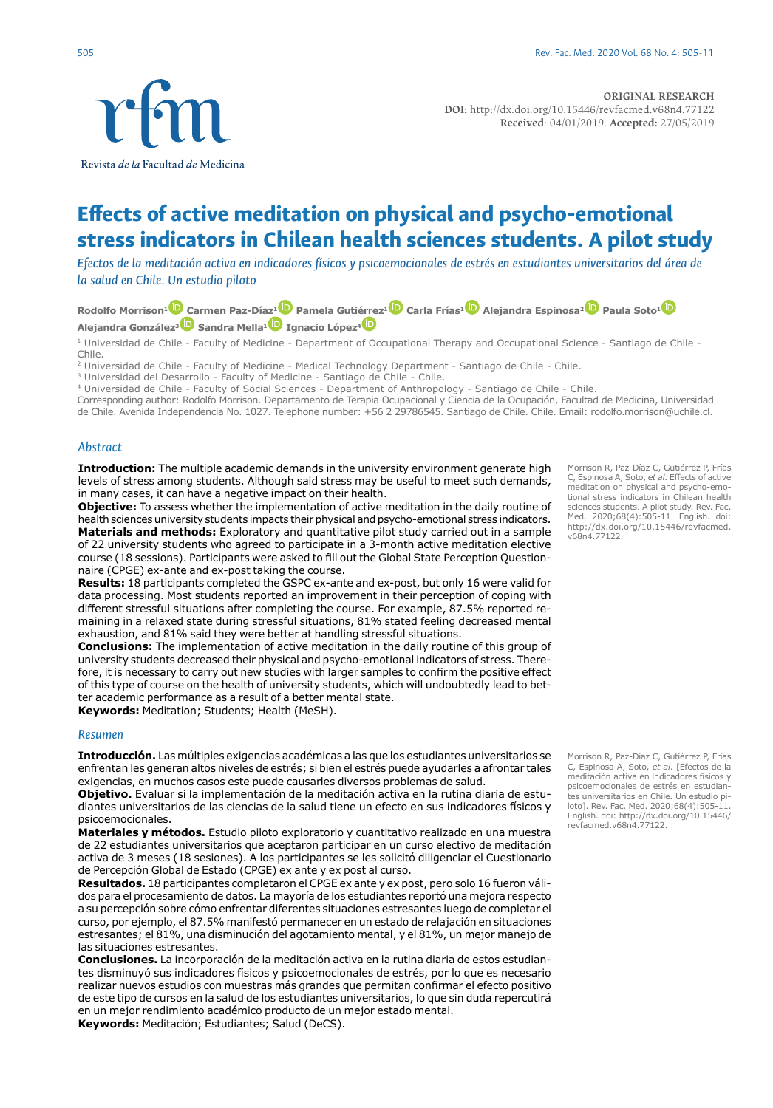**ORIGINAL RESEARCH DOI:** http://dx.doi.org/10.15446/revfacmed.v68n4.77122 **Received**: 04/01/2019. **Accepted:** 27/05/2019

# **Effects of active meditation on physical and psycho-emotional stress indicators in Chilean health sciences students. A pilot study**

*Efectos de la meditación activa en indicadores físicos y psicoemocionales de estrés en estudiantes universitarios del área de la salud en Chile. Un estudio piloto*

**Rodolfo Morrison[1 C](http://orcid.org/0000-0002-2834-1646)armen Paz-Díaz[1](https://orcid.org/0000-0001-5265-8603) Pamela Guti[érrez](https://orcid.org/0000-0003-1240-2448)[1](https://orcid.org/0000-0001-9722-9036) Carla Frías[1](https://orcid.org/0000-0002-0766-4761) Alejandra Espinosa[2](https://orcid.org/0000-0003-4779-5341) Paula Soto[1](https://orcid.org/0000-0001-5119-9644) Alejandra González[3](https://orcid.org/0000-0002-7200-3863) Sandra Mella[1 I](https://orcid.org/0000-0003-4870-2071)gnacio López4**

1 Universidad de Chile - Faculty of Medicine - Department of Occupational Therapy and Occupational Science - Santiago de Chile - Chile.

<sup>2</sup> Universidad de Chile - Faculty of Medicine - Medical Technology Department - Santiago de Chile - Chile.

<sup>3</sup> Universidad del Desarrollo - Faculty of Medicine - Santiago de Chile - Chile.

4 Universidad de Chile - Faculty of Social Sciences - Department of Anthropology - Santiago de Chile - Chile.

Corresponding author: Rodolfo Morrison. Departamento de Terapia Ocupacional y Ciencia de la Ocupación, Facultad de Medicina, Universidad de Chile. Avenida Independencia No. 1027. Telephone number: +56 2 29786545. Santiago de Chile. Chile. Email: rodolfo.morrison@uchile.cl.

#### *Abstract*

**Introduction:** The multiple academic demands in the university environment generate high levels of stress among students. Although said stress may be useful to meet such demands, in many cases, it can have a negative impact on their health.

**Objective:** To assess whether the implementation of active meditation in the daily routine of health sciences university students impacts their physical and psycho-emotional stress indicators. **Materials and methods:** Exploratory and quantitative pilot study carried out in a sample of 22 university students who agreed to participate in a 3-month active meditation elective course (18 sessions). Participants were asked to fill out the Global State Perception Questionnaire (CPGE) ex-ante and ex-post taking the course.

**Results:** 18 participants completed the GSPC ex-ante and ex-post, but only 16 were valid for data processing. Most students reported an improvement in their perception of coping with different stressful situations after completing the course. For example, 87.5% reported remaining in a relaxed state during stressful situations, 81% stated feeling decreased mental exhaustion, and 81% said they were better at handling stressful situations.

**Conclusions:** The implementation of active meditation in the daily routine of this group of university students decreased their physical and psycho-emotional indicators of stress. Therefore, it is necessary to carry out new studies with larger samples to confirm the positive effect of this type of course on the health of university students, which will undoubtedly lead to better academic performance as a result of a better mental state.

**Keywords:** Meditation; Students; Health (MeSH).

## *Resumen*

**Introducción.** Las múltiples exigencias académicas a las que los estudiantes universitarios se enfrentan les generan altos niveles de estrés; si bien el estrés puede ayudarles a afrontar tales exigencias, en muchos casos este puede causarles diversos problemas de salud.

**Objetivo.** Evaluar si la implementación de la meditación activa en la rutina diaria de estudiantes universitarios de las ciencias de la salud tiene un efecto en sus indicadores físicos y psicoemocionales.

**Materiales y métodos.** Estudio piloto exploratorio y cuantitativo realizado en una muestra de 22 estudiantes universitarios que aceptaron participar en un curso electivo de meditación activa de 3 meses (18 sesiones). A los participantes se les solicitó diligenciar el Cuestionario de Percepción Global de Estado (CPGE) ex ante y ex post al curso.

**Resultados.** 18 participantes completaron el CPGE ex ante y ex post, pero solo 16 fueron válidos para el procesamiento de datos. La mayoría de los estudiantes reportó una mejora respecto a su percepción sobre cómo enfrentar diferentes situaciones estresantes luego de completar el curso, por ejemplo, el 87.5% manifestó permanecer en un estado de relajación en situaciones estresantes; el 81%, una disminución del agotamiento mental, y el 81%, un mejor manejo de las situaciones estresantes.

**Conclusiones.** La incorporación de la meditación activa en la rutina diaria de estos estudiantes disminuyó sus indicadores físicos y psicoemocionales de estrés, por lo que es necesario realizar nuevos estudios con muestras más grandes que permitan confirmar el efecto positivo de este tipo de cursos en la salud de los estudiantes universitarios, lo que sin duda repercutirá en un mejor rendimiento académico producto de un mejor estado mental.

**Keywords:** Meditación; Estudiantes; Salud (DeCS).

Morrison R, Paz-Díaz C, Gutiérrez P, Frías C, Espinosa A, Soto, *et al*. Effects of active meditation on physical and psycho-emotional stress indicators in Chilean health sciences students. A pilot study. Rev. Fac. Med. 2020;68(4):505-11. English. doi: http://dx.doi.org/10.15446/revfacmed. v68n4.77122.

Morrison R, Paz-Díaz C, Gutiérrez P, Frías C, Espinosa A, Soto, *et al*. [Efectos de la meditación activa en indicadores físicos y psicoemocionales de estrés en estudiantes universitarios en Chile. Un estudio pi-loto]. Rev. Fac. Med. 2020;68(4):505-11. English. doi: http://dx.doi.org/10.15446/ revfacmed.v68n4.77122.

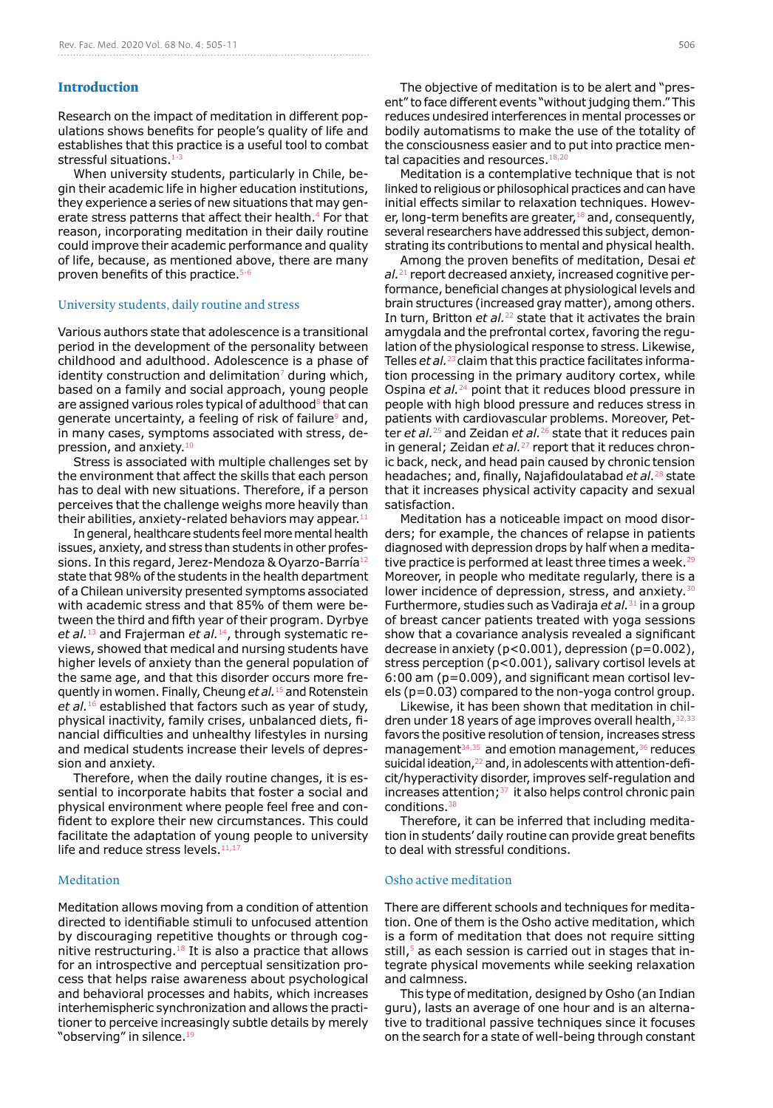#### **Introduction**

Research on the impact of meditation in different populations shows benefits for people's quality of life and establishes that this practice is a useful tool to combat stressful situations.<sup>1</sup>

When university students, particularly in Chile, begin their academic life in higher education institutions, they experience a series of new situations that may generate stress patterns that affect their health.<sup>4</sup> For that reason, incorporating meditation in their daily routine could improve their academic performance and quality of life, because, as mentioned above, there are many proven benefits of this practice.5-6

#### University students, daily routine and stress

Various authors state that adolescence is a transitional period in the development of the personality between childhood and adulthood. Adolescence is a phase of identity construction and delimitation $<sup>7</sup>$  during which,</sup> based on a family and social approach, young people are assigned various roles typical of adulthood  $8$  that can generate uncertainty, a feeling of risk of failure<sup>9</sup> and, in many cases, symptoms associated with stress, depression, and anxiety.10

Stress is associated with multiple challenges set by the environment that affect the skills that each person has to deal with new situations. Therefore, if a person perceives that the challenge weighs more heavily than their abilities, anxiety-related behaviors may appear. $11$ 

In general, healthcare students feel more mental health issues, anxiety, and stress than students in other professions. In this regard, Jerez-Mendoza & Oyarzo-Barría12 state that 98% of the students in the health department of a Chilean university presented symptoms associated with academic stress and that 85% of them were between the third and fifth year of their program. Dyrbye *et al.*13 and Frajerman *et al.*14, through systematic reviews, showed that medical and nursing students have higher levels of anxiety than the general population of the same age, and that this disorder occurs more frequently in women. Finally, Cheung *et al.*15 and Rotenstein *et al.*16 established that factors such as year of study, physical inactivity, family crises, unbalanced diets, financial difficulties and unhealthy lifestyles in nursing and medical students increase their levels of depression and anxiety.

Therefore, when the daily routine changes, it is essential to incorporate habits that foster a social and physical environment where people feel free and confident to explore their new circumstances. This could facilitate the adaptation of young people to university life and reduce stress levels.<sup>11,17</sup>

# Meditation

Meditation allows moving from a condition of attention directed to identifiable stimuli to unfocused attention by discouraging repetitive thoughts or through cognitive restructuring.18 It is also a practice that allows for an introspective and perceptual sensitization process that helps raise awareness about psychological and behavioral processes and habits, which increases interhemispheric synchronization and allows the practitioner to perceive increasingly subtle details by merely "observing" in silence.<sup>19</sup>

The objective of meditation is to be alert and "present" to face different events "without judging them." This reduces undesired interferences in mental processes or bodily automatisms to make the use of the totality of the consciousness easier and to put into practice mental capacities and resources.<sup>18,20</sup>

Meditation is a contemplative technique that is not linked to religious or philosophical practices and can have initial effects similar to relaxation techniques. However, long-term benefits are greater,  $18$  and, consequently, several researchers have addressed this subject, demonstrating its contributions to mental and physical health.

Among the proven benefits of meditation, Desai *et al.*21 report decreased anxiety, increased cognitive performance, beneficial changes at physiological levels and brain structures (increased gray matter), among others. In turn, Britton *et al.*<sup>22</sup> state that it activates the brain amygdala and the prefrontal cortex, favoring the regulation of the physiological response to stress. Likewise, Telles *et al.*23 claim that this practice facilitates information processing in the primary auditory cortex, while Ospina *et al.*24 point that it reduces blood pressure in people with high blood pressure and reduces stress in patients with cardiovascular problems. Moreover, Petter *et al.*25 and Zeidan *et al.*26 state that it reduces pain in general; Zeidan *et al.*<sup>27</sup> report that it reduces chronic back, neck, and head pain caused by chronic tension headaches; and, finally, Najafidoulatabad *et al.*28 state that it increases physical activity capacity and sexual satisfaction.

Meditation has a noticeable impact on mood disorders; for example, the chances of relapse in patients diagnosed with depression drops by half when a meditative practice is performed at least three times a week.29 Moreover, in people who meditate regularly, there is a lower incidence of depression, stress, and anxiety.<sup>31</sup> Furthermore, studies such as Vadiraja *et al.*31 in a group of breast cancer patients treated with yoga sessions show that a covariance analysis revealed a significant decrease in anxiety ( $p<0.001$ ), depression ( $p=0.002$ ), stress perception (p<0.001), salivary cortisol levels at 6:00 am (p=0.009), and significant mean cortisol levels (p=0.03) compared to the non-yoga control group.

Likewise, it has been shown that meditation in children under 18 years of age improves overall health, 32,33 favors the positive resolution of tension, increases stress management $34,35$  and emotion management,  $36$  reduces suicidal ideation, <sup>22</sup> and, in adolescents with attention-deficit/hyperactivity disorder, improves self-regulation and increases attention; $37$  it also helps control chronic pain conditions.38

Therefore, it can be inferred that including meditation in students' daily routine can provide great benefits to deal with stressful conditions.

# Osho active meditation

There are different schools and techniques for meditation. One of them is the Osho active meditation, which is a form of meditation that does not require sitting still,<sup>5</sup> as each session is carried out in stages that integrate physical movements while seeking relaxation and calmness.

This type of meditation, designed by Osho (an Indian guru), lasts an average of one hour and is an alternative to traditional passive techniques since it focuses on the search for a state of well-being through constant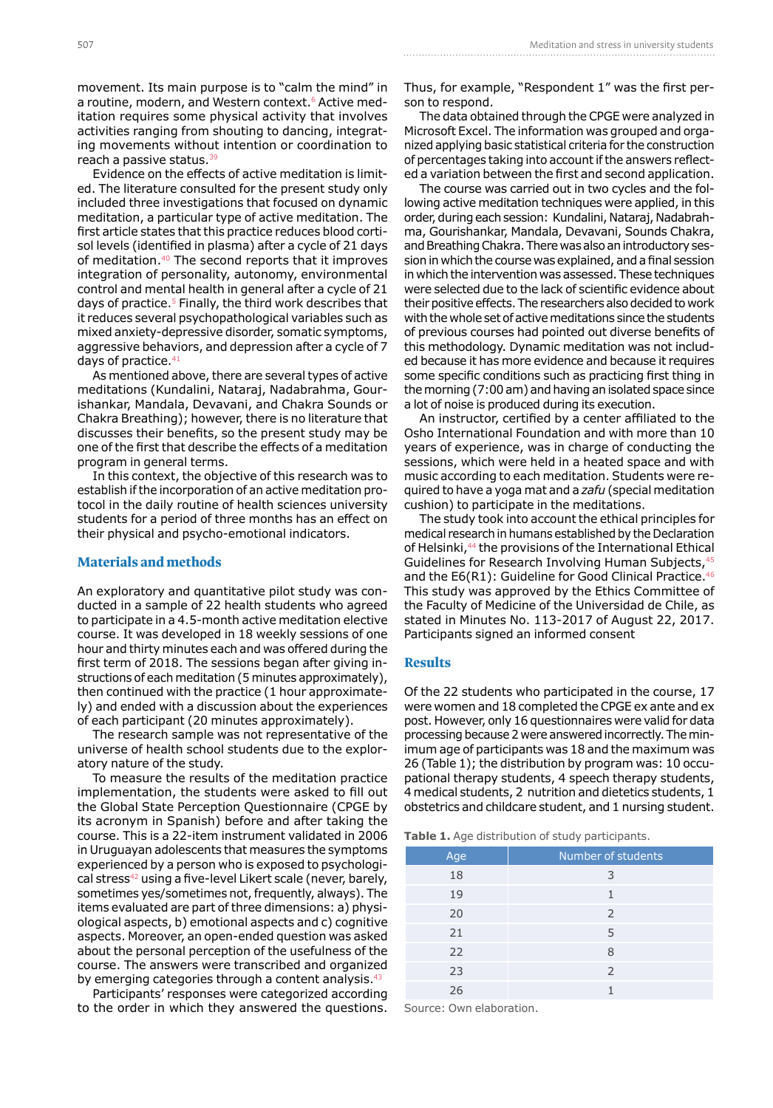movement. Its main purpose is to "calm the mind" in a routine, modern, and Western context.<sup>6</sup> Active meditation requires some physical activity that involves activities ranging from shouting to dancing, integrating movements without intention or coordination to reach a passive status.<sup>39</sup>

Evidence on the effects of active meditation is limited. The literature consulted for the present study only included three investigations that focused on dynamic meditation, a particular type of active meditation. The first article states that this practice reduces blood cortisol levels (identified in plasma) after a cycle of 21 days of meditation.40 The second reports that it improves integration of personality, autonomy, environmental control and mental health in general after a cycle of 21 days of practice.<sup>5</sup> Finally, the third work describes that it reduces several psychopathological variables such as mixed anxiety-depressive disorder, somatic symptoms, aggressive behaviors, and depression after a cycle of 7 days of practice. $41$ 

As mentioned above, there are several types of active meditations (Kundalini, Nataraj, Nadabrahma, Gourishankar, Mandala, Devavani, and Chakra Sounds or Chakra Breathing); however, there is no literature that discusses their benefits, so the present study may be one of the first that describe the effects of a meditation program in general terms.

In this context, the objective of this research was to establish if the incorporation of an active meditation protocol in the daily routine of health sciences university students for a period of three months has an effect on their physical and psycho-emotional indicators.

# **Materials and methods**

An exploratory and quantitative pilot study was conducted in a sample of 22 health students who agreed to participate in a 4.5-month active meditation elective course. It was developed in 18 weekly sessions of one hour and thirty minutes each and was offered during the first term of 2018. The sessions began after giving instructions of each meditation (5 minutes approximately), then continued with the practice (1 hour approximately) and ended with a discussion about the experiences of each participant (20 minutes approximately).

The research sample was not representative of the universe of health school students due to the exploratory nature of the study.

To measure the results of the meditation practice implementation, the students were asked to fill out the Global State Perception Questionnaire (CPGE by its acronym in Spanish) before and after taking the course. This is a 22-item instrument validated in 2006 in Uruguayan adolescents that measures the symptoms experienced by a person who is exposed to psychological stress<sup>42</sup> using a five-level Likert scale (never, barely, sometimes yes/sometimes not, frequently, always). The items evaluated are part of three dimensions: a) physiological aspects, b) emotional aspects and c) cognitive aspects. Moreover, an open-ended question was asked about the personal perception of the usefulness of the course. The answers were transcribed and organized by emerging categories through a content analysis.<sup>43</sup>

Participants' responses were categorized according to the order in which they answered the questions. Thus, for example, "Respondent 1" was the first person to respond.

The data obtained through the CPGE were analyzed in Microsoft Excel. The information was grouped and organized applying basic statistical criteria for the construction of percentages taking into account if the answers reflected a variation between the first and second application.

The course was carried out in two cycles and the following active meditation techniques were applied, in this order, during each session: Kundalini, Nataraj, Nadabrahma, Gourishankar, Mandala, Devavani, Sounds Chakra, and Breathing Chakra. There was also an introductory session in which the course was explained, and a final session in which the intervention was assessed. These techniques were selected due to the lack of scientific evidence about their positive effects. The researchers also decided to work with the whole set of active meditations since the students of previous courses had pointed out diverse benefits of this methodology. Dynamic meditation was not included because it has more evidence and because it requires some specific conditions such as practicing first thing in the morning (7:00 am) and having an isolated space since a lot of noise is produced during its execution.

An instructor, certified by a center affiliated to the Osho International Foundation and with more than 10 years of experience, was in charge of conducting the sessions, which were held in a heated space and with music according to each meditation. Students were required to have a yoga mat and a *zafu* (special meditation cushion) to participate in the meditations.

The study took into account the ethical principles for medical research in humans established by the Declaration of Helsinki,<sup>44</sup> the provisions of the International Ethical Guidelines for Research Involving Human Subjects, 45 and the E6(R1): Guideline for Good Clinical Practice.<sup>46</sup> This study was approved by the Ethics Committee of the Faculty of Medicine of the Universidad de Chile, as stated in Minutes No. 113-2017 of August 22, 2017. Participants signed an informed consent

#### **Results**

Of the 22 students who participated in the course, 17 were women and 18 completed the CPGE ex ante and ex post. However, only 16 questionnaires were valid for data processing because 2 were answered incorrectly. The minimum age of participants was 18 and the maximum was 26 (Table 1); the distribution by program was: 10 occupational therapy students, 4 speech therapy students, 4 medical students, 2 nutrition and dietetics students, 1 obstetrics and childcare student, and 1 nursing student.

**Table 1.** Age distribution of study participants.

| Age | Number of students |  |  |
|-----|--------------------|--|--|
| 18  | 3                  |  |  |
| 19  | 1                  |  |  |
| 20  | 2                  |  |  |
| 21  | 5                  |  |  |
| 22  | 8                  |  |  |
| 23  | 2                  |  |  |
| 26  |                    |  |  |

Source: Own elaboration.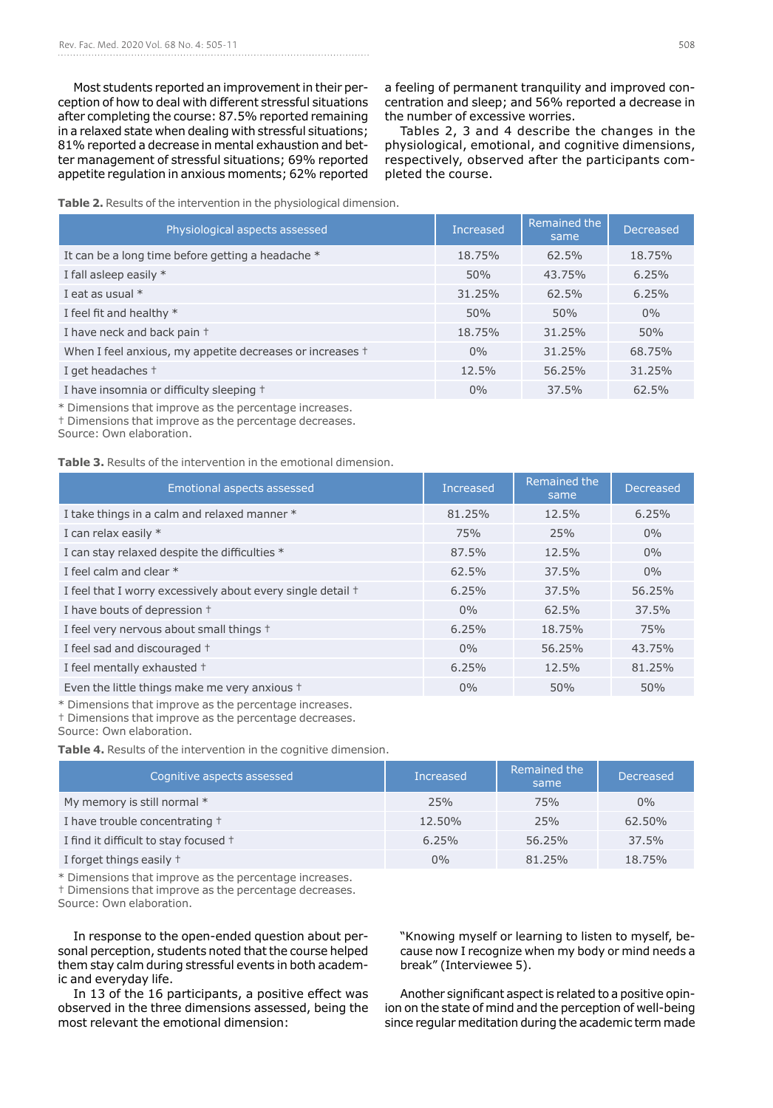Most students reported an improvement in their perception of how to deal with different stressful situations after completing the course: 87.5% reported remaining in a relaxed state when dealing with stressful situations; 81% reported a decrease in mental exhaustion and better management of stressful situations; 69% reported appetite regulation in anxious moments; 62% reported

a feeling of permanent tranquility and improved concentration and sleep; and 56% reported a decrease in the number of excessive worries.

Tables 2, 3 and 4 describe the changes in the physiological, emotional, and cognitive dimensions, respectively, observed after the participants completed the course.

**Table 2.** Results of the intervention in the physiological dimension.

| Physiological aspects assessed                                    | <b>Increased</b> | Remained the<br>same | <b>Decreased</b> |
|-------------------------------------------------------------------|------------------|----------------------|------------------|
| It can be a long time before getting a headache *                 | 18.75%           | 62.5%                | 18.75%           |
| I fall asleep easily *                                            | 50%              | 43.75%               | 6.25%            |
| I eat as usual $*$                                                | 31.25%           | 62.5%                | 6.25%            |
| I feel fit and healthy $*$                                        | 50%              | 50%                  | $0\%$            |
| I have neck and back pain +                                       | 18.75%           | 31.25%               | 50%              |
| When I feel anxious, my appetite decreases or increases $\dagger$ | $0\%$            | 31.25%               | 68.75%           |
| I get headaches +                                                 | 12.5%            | 56.25%               | 31.25%           |
| I have insomnia or difficulty sleeping +                          | $0\%$            | 37.5%                | 62.5%            |

\* Dimensions that improve as the percentage increases.

† Dimensions that improve as the percentage decreases.

Source: Own elaboration.

**Table 3.** Results of the intervention in the emotional dimension.

| <b>Emotional aspects assessed</b>                           | <b>Increased</b> | Remained the<br>same | <b>Decreased</b> |
|-------------------------------------------------------------|------------------|----------------------|------------------|
| I take things in a calm and relaxed manner *                | 81.25%           | 12.5%                | 6.25%            |
| I can relax easily *                                        | 75%              | 25%                  | 0%               |
| I can stay relaxed despite the difficulties *               | 87.5%            | 12.5%                | 0%               |
| I feel calm and clear *                                     | 62.5%            | 37.5%                | $0\%$            |
| I feel that I worry excessively about every single detail + | 6.25%            | 37.5%                | 56.25%           |
| I have bouts of depression +                                | $0\%$            | 62.5%                | 37.5%            |
| I feel very nervous about small things +                    | 6.25%            | 18.75%               | 75%              |
| I feel sad and discouraged +                                | $0\%$            | 56.25%               | 43.75%           |
| I feel mentally exhausted +                                 | 6.25%            | 12.5%                | 81.25%           |
| Even the little things make me very anxious +               | $0\%$            | 50%                  | 50%              |

\* Dimensions that improve as the percentage increases.

† Dimensions that improve as the percentage decreases.

Source: Own elaboration.

**Table 4.** Results of the intervention in the cognitive dimension.

| Cognitive aspects assessed            | Increased | Remained the<br>same | Decreased |
|---------------------------------------|-----------|----------------------|-----------|
| My memory is still normal *           | 25%       | 75%                  | $0\%$     |
| I have trouble concentrating +        | 12.50%    | 25%                  | 62.50%    |
| I find it difficult to stay focused + | 6.25%     | 56.25%               | 37.5%     |
| I forget things easily +              | $0\%$     | 81.25%               | 18.75%    |

\* Dimensions that improve as the percentage increases.

† Dimensions that improve as the percentage decreases.

Source: Own elaboration.

In response to the open-ended question about personal perception, students noted that the course helped them stay calm during stressful events in both academic and everyday life.

In 13 of the 16 participants, a positive effect was observed in the three dimensions assessed, being the most relevant the emotional dimension:

"Knowing myself or learning to listen to myself, because now I recognize when my body or mind needs a break" (Interviewee 5).

Another significant aspect is related to a positive opinion on the state of mind and the perception of well-being since regular meditation during the academic term made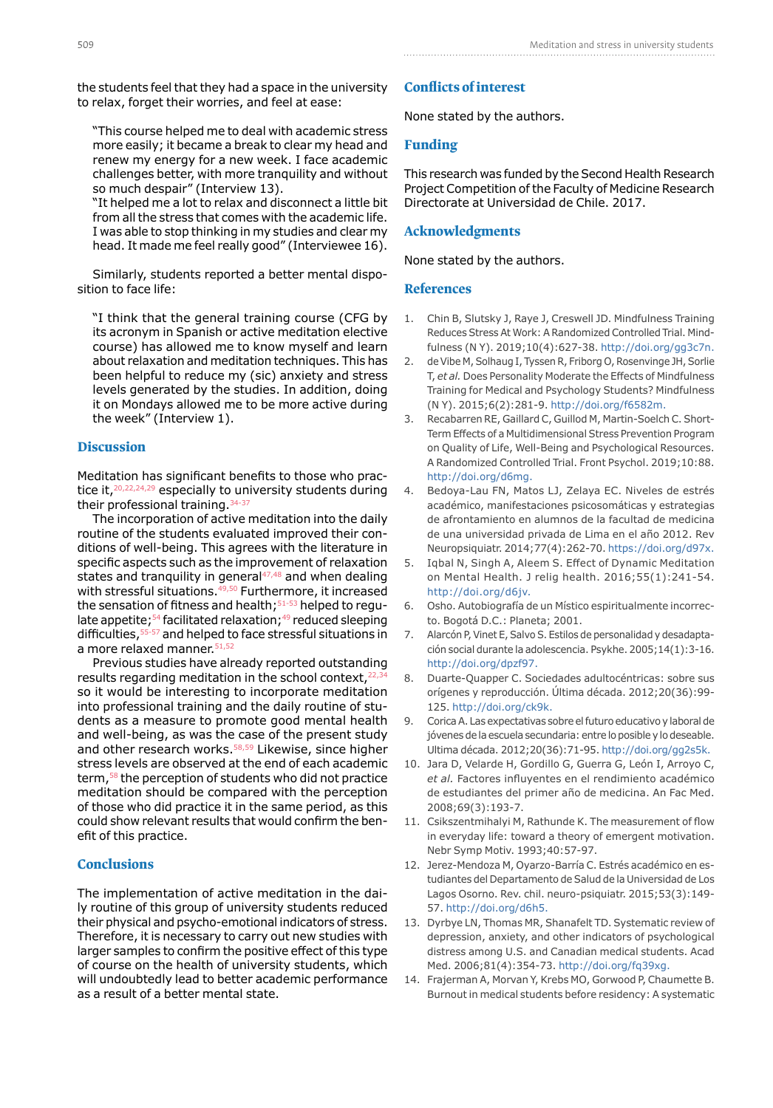the students feel that they had a space in the university to relax, forget their worries, and feel at ease:

"This course helped me to deal with academic stress more easily; it became a break to clear my head and renew my energy for a new week. I face academic challenges better, with more tranquility and without so much despair" (Interview 13).

"It helped me a lot to relax and disconnect a little bit from all the stress that comes with the academic life. I was able to stop thinking in my studies and clear my head. It made me feel really good" (Interviewee 16).

Similarly, students reported a better mental disposition to face life:

"I think that the general training course (CFG by its acronym in Spanish or active meditation elective course) has allowed me to know myself and learn about relaxation and meditation techniques. This has been helpful to reduce my (sic) anxiety and stress levels generated by the studies. In addition, doing it on Mondays allowed me to be more active during the week" (Interview 1).

## **Discussion**

Meditation has significant benefits to those who practice it,<sup>20,22,24,29</sup> especially to university students during their professional training.34-37

The incorporation of active meditation into the daily routine of the students evaluated improved their conditions of well-being. This agrees with the literature in specific aspects such as the improvement of relaxation states and tranquility in general $47,48$  and when dealing with stressful situations.<sup>49,50</sup> Furthermore, it increased the sensation of fitness and health; $51-53$  helped to regulate appetite;<sup>54</sup> facilitated relaxation;<sup>49</sup> reduced sleeping difficulties,  $55-57$  and helped to face stressful situations in a more relaxed manner. 51,52

Previous studies have already reported outstanding results regarding meditation in the school context,22,34 so it would be interesting to incorporate meditation into professional training and the daily routine of students as a measure to promote good mental health and well-being, as was the case of the present study and other research works.<sup>58,59</sup> Likewise, since higher stress levels are observed at the end of each academic term, <sup>58</sup> the perception of students who did not practice meditation should be compared with the perception of those who did practice it in the same period, as this could show relevant results that would confirm the benefit of this practice.

# **Conclusions**

The implementation of active meditation in the daily routine of this group of university students reduced their physical and psycho-emotional indicators of stress. Therefore, it is necessary to carry out new studies with larger samples to confirm the positive effect of this type of course on the health of university students, which will undoubtedly lead to better academic performance as a result of a better mental state.

# **Conflicts of interest**

None stated by the authors.

#### **Funding**

This research was funded by the Second Health Research Project Competition of the Faculty of Medicine Research Directorate at Universidad de Chile. 2017.

# **Acknowledgments**

None stated by the authors.

#### **References**

- 1. Chin B, Slutsky J, Raye J, Creswell JD. Mindfulness Training Reduces Stress At Work: A Randomized Controlled Trial. Mindfulness (N Y). 2019;10(4):627-38. [http://doi.org/gg3c7n.](http://doi.org/gg3c7n)
- 2. de Vibe M, Solhaug I, Tyssen R, Friborg O, Rosenvinge JH, Sorlie T, *et al.* Does Personality Moderate the Effects of Mindfulness Training for Medical and Psychology Students? Mindfulness (N Y). 2015;6(2):281-9.<http://doi.org/f6582m>.
- 3. Recabarren RE, Gaillard C, Guillod M, Martin-Soelch C. Short-Term Effects of a Multidimensional Stress Prevention Program on Quality of Life, Well-Being and Psychological Resources. A Randomized Controlled Trial. Front Psychol. 2019;10:88. <http://doi.org/d6mg>.
- 4. Bedoya-Lau FN, Matos LJ, Zelaya EC. Niveles de estrés académico, manifestaciones psicosomáticas y estrategias de afrontamiento en alumnos de la facultad de medicina de una universidad privada de Lima en el año 2012. Rev Neuropsiquiatr. 2014;77(4):262-70. [https://doi.org/d97x.](https://doi.org/d97x)
- 5. Iqbal N, Singh A, Aleem S. Effect of Dynamic Meditation on Mental Health. J relig health. 2016;55(1):241-54. <http://doi.org/d6jv>.
- 6. Osho. Autobiografía de un Místico espiritualmente incorrecto. Bogotá D.C.: Planeta; 2001.
- 7. Alarcón P, Vinet E, Salvo S. Estilos de personalidad y desadaptación social durante la adolescencia. Psykhe. 2005;14(1):3-16. <http://doi.org/dpzf97>.
- 8. Duarte-Quapper C. Sociedades adultocéntricas: sobre sus orígenes y reproducción. Última década. 2012;20(36):99- 125.<http://doi.org/ck9k>.
- 9. Corica A. Las expectativas sobre el futuro educativo y laboral de jóvenes de la escuela secundaria: entre lo posible y lo deseable. Ultima década. 2012;20(36):71-95.<http://doi.org/gg2s5k>.
- 10. Jara D, Velarde H, Gordillo G, Guerra G, León I, Arroyo C, *et al.* Factores influyentes en el rendimiento académico de estudiantes del primer año de medicina. An Fac Med. 2008;69(3):193-7.
- 11. Csikszentmihalyi M, Rathunde K. The measurement of flow in everyday life: toward a theory of emergent motivation. Nebr Symp Motiv. 1993;40:57-97.
- 12. Jerez-Mendoza M, Oyarzo-Barría C. Estrés académico en estudiantes del Departamento de Salud de la Universidad de Los Lagos Osorno. Rev. chil. neuro-psiquiatr. 2015;53(3):149- 57. [http://doi.org/d6h5.](http://doi.org/d6h5)
- 13. Dyrbye LN, Thomas MR, Shanafelt TD. Systematic review of depression, anxiety, and other indicators of psychological distress among U.S. and Canadian medical students. Acad Med. 2006;81(4):354-73.<http://doi.org/fq39xg>.
- 14. Frajerman A, Morvan Y, Krebs MO, Gorwood P, Chaumette B. Burnout in medical students before residency: A systematic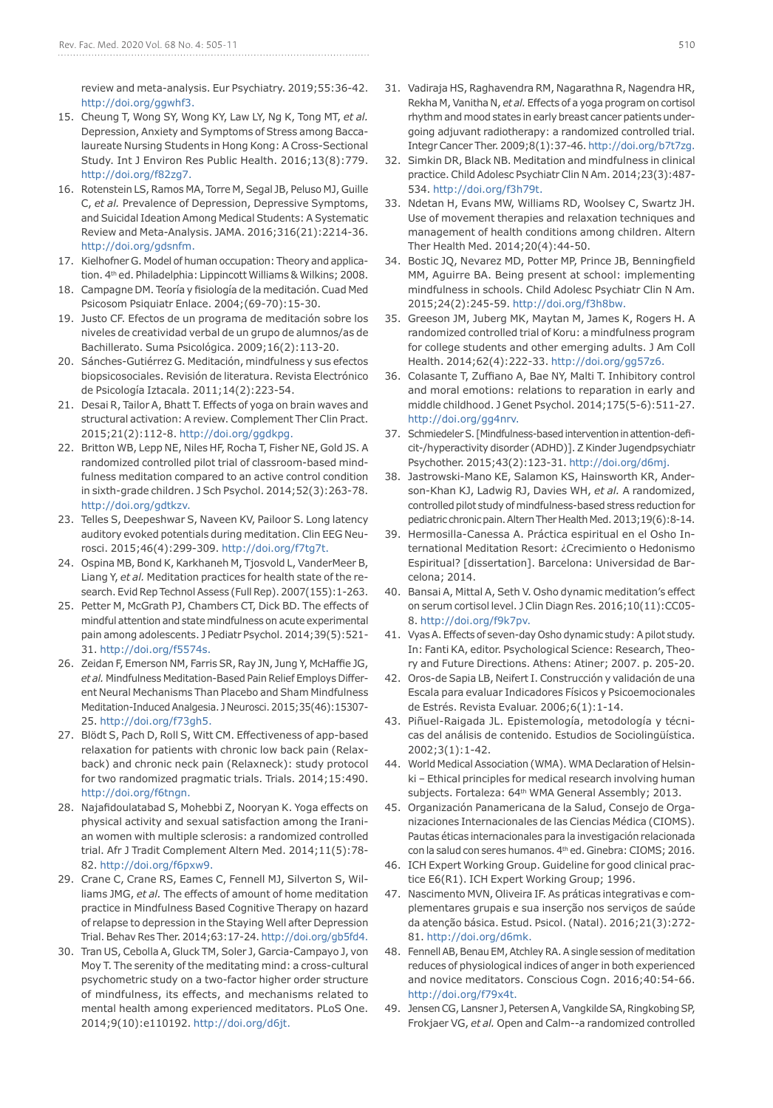review and meta-analysis. Eur Psychiatry. 2019;55:36-42. <http://doi.org/ggwhf3>.

- 15. Cheung T, Wong SY, Wong KY, Law LY, Ng K, Tong MT, *et al.* Depression, Anxiety and Symptoms of Stress among Baccalaureate Nursing Students in Hong Kong: A Cross-Sectional Study. Int J Environ Res Public Health. 2016;13(8):779. <http://doi.org/f82zg7>.
- 16. Rotenstein LS, Ramos MA, Torre M, Segal JB, Peluso MJ, Guille C, *et al.* Prevalence of Depression, Depressive Symptoms, and Suicidal Ideation Among Medical Students: A Systematic Review and Meta-Analysis. JAMA. 2016;316(21):2214-36. [http://doi.org/gdsnfm.](http://doi.org/gdsnfm)
- 17. Kielhofner G. Model of human occupation: Theory and application. 4th ed. Philadelphia: Lippincott Williams & Wilkins; 2008.
- 18. Campagne DM. Teoría y fisiología de la meditación. Cuad Med Psicosom Psiquiatr Enlace. 2004;(69-70):15-30.
- 19. Justo CF. Efectos de un programa de meditación sobre los niveles de creatividad verbal de un grupo de alumnos/as de Bachillerato. Suma Psicológica. 2009;16(2):113-20.
- 20. Sánches-Gutiérrez G. Meditación, mindfulness y sus efectos biopsicosociales. Revisión de literatura. Revista Electrónico de Psicología Iztacala. 2011;14(2):223-54.
- 21. Desai R, Tailor A, Bhatt T. Effects of yoga on brain waves and structural activation: A review. Complement Ther Clin Pract. 2015;21(2):112-8. [http://doi.org/ggdkpg.](http://doi.org/ggdkpg)
- 22. Britton WB, Lepp NE, Niles HF, Rocha T, Fisher NE, Gold JS. A randomized controlled pilot trial of classroom-based mindfulness meditation compared to an active control condition in sixth-grade children. J Sch Psychol. 2014;52(3):263-78. <http://doi.org/gdtkzv>.
- 23. Telles S, Deepeshwar S, Naveen KV, Pailoor S. Long latency auditory evoked potentials during meditation. Clin EEG Neurosci. 2015;46(4):299-309. [http://doi.org/f7tg7t.](http://doi.org/f7tg7t)
- 24. Ospina MB, Bond K, Karkhaneh M, Tjosvold L, VanderMeer B, Liang Y, *et al.* Meditation practices for health state of the research. Evid Rep Technol Assess (Full Rep). 2007(155):1-263.
- 25. Petter M, McGrath PJ, Chambers CT, Dick BD. The effects of mindful attention and state mindfulness on acute experimental pain among adolescents. J Pediatr Psychol. 2014;39(5):521- 31.<http://doi.org/f5574s>.
- 26. Zeidan F, Emerson NM, Farris SR, Ray JN, Jung Y, McHaffie JG, *et al.* Mindfulness Meditation-Based Pain Relief Employs Different Neural Mechanisms Than Placebo and Sham Mindfulness Meditation-Induced Analgesia. J Neurosci. 2015;35(46):15307- 25. [http://doi.org/f73gh5.](http://doi.org/f73gh5)
- 27. Blödt S, Pach D, Roll S, Witt CM. Effectiveness of app-based relaxation for patients with chronic low back pain (Relaxback) and chronic neck pain (Relaxneck): study protocol for two randomized pragmatic trials. Trials. 2014;15:490. <http://doi.org/f6tngn>.
- 28. Najafidoulatabad S, Mohebbi Z, Nooryan K. Yoga effects on physical activity and sexual satisfaction among the Iranian women with multiple sclerosis: a randomized controlled trial. Afr J Tradit Complement Altern Med. 2014;11(5):78- 82.<http://doi.org/f6pxw9>.
- 29. Crane C, Crane RS, Eames C, Fennell MJ, Silverton S, Williams JMG, *et al.* The effects of amount of home meditation practice in Mindfulness Based Cognitive Therapy on hazard of relapse to depression in the Staying Well after Depression Trial. Behav Res Ther. 2014;63:17-24. [http://doi.org/gb5fd4.](http://doi.org/gb5fd4)
- 30. Tran US, Cebolla A, Gluck TM, Soler J, Garcia-Campayo J, von Moy T. The serenity of the meditating mind: a cross-cultural psychometric study on a two-factor higher order structure of mindfulness, its effects, and mechanisms related to mental health among experienced meditators. PLoS One. 2014;9(10):e110192. [http://doi.org/d6jt.](http://doi.org/d6jt)
- 31. Vadiraja HS, Raghavendra RM, Nagarathna R, Nagendra HR, Rekha M, Vanitha N, *et al.* Effects of a yoga program on cortisol rhythm and mood states in early breast cancer patients undergoing adjuvant radiotherapy: a randomized controlled trial. Integr Cancer Ther. 2009;8(1):37-46. [http://doi.org/b7t7zg.](http://doi.org/b7t7zg)
- 32. Simkin DR, Black NB. Meditation and mindfulness in clinical practice. Child Adolesc Psychiatr Clin N Am. 2014;23(3):487- 534. [http://doi.org/f3h79t.](http://doi.org/f3h79t)
- 33. Ndetan H, Evans MW, Williams RD, Woolsey C, Swartz JH. Use of movement therapies and relaxation techniques and management of health conditions among children. Altern Ther Health Med. 2014;20(4):44-50.
- 34. Bostic JQ, Nevarez MD, Potter MP, Prince JB, Benningfield MM, Aguirre BA. Being present at school: implementing mindfulness in schools. Child Adolesc Psychiatr Clin N Am. 2015;24(2):245-59. [http://doi.org/f3h8bw.](http://doi.org/f3h8bw)
- 35. Greeson JM, Juberg MK, Maytan M, James K, Rogers H. A randomized controlled trial of Koru: a mindfulness program for college students and other emerging adults. J Am Coll Health. 2014;62(4):222-33.<http://doi.org/gg57z6>.
- 36. Colasante T, Zuffiano A, Bae NY, Malti T. Inhibitory control and moral emotions: relations to reparation in early and middle childhood. J Genet Psychol. 2014;175(5-6):511-27. <http://doi.org/gg4nrv>.
- 37. Schmiedeler S. [Mindfulness-based intervention in attention-deficit-/hyperactivity disorder (ADHD)]. Z Kinder Jugendpsychiatr Psychother. 2015;43(2):123-31.<http://doi.org/d6mj>.
- 38. Jastrowski-Mano KE, Salamon KS, Hainsworth KR, Anderson-Khan KJ, Ladwig RJ, Davies WH, *et al.* A randomized, controlled pilot study of mindfulness-based stress reduction for pediatric chronic pain. Altern Ther Health Med. 2013;19(6):8-14.
- 39. Hermosilla-Canessa A. Práctica espiritual en el Osho International Meditation Resort: ¿Crecimiento o Hedonismo Espiritual? [dissertation]. Barcelona: Universidad de Barcelona; 2014.
- 40. Bansai A, Mittal A, Seth V. Osho dynamic meditation's effect on serum cortisol level. J Clin Diagn Res. 2016;10(11):CC05- 8. [http://doi.org/f9k7pv.](http://doi.org/f9k7pv)
- 41. Vyas A. Effects of seven-day Osho dynamic study: A pilot study. In: Fanti KA, editor. Psychological Science: Research, Theory and Future Directions. Athens: Atiner; 2007. p. 205-20.
- 42. Oros-de Sapia LB, Neifert I. Construcción y validación de una Escala para evaluar Indicadores Físicos y Psicoemocionales de Estrés. Revista Evaluar. 2006;6(1):1-14.
- 43. Piñuel-Raigada JL. Epistemología, metodología y técnicas del análisis de contenido. Estudios de Sociolingüística. 2002;3(1):1-42.
- 44. World Medical Association (WMA). WMA Declaration of Helsinki – Ethical principles for medical research involving human subjects. Fortaleza: 64<sup>th</sup> WMA General Assembly; 2013.
- 45. Organización Panamericana de la Salud, Consejo de Organizaciones Internacionales de las Ciencias Médica (CIOMS). Pautas éticas internacionales para la investigación relacionada con la salud con seres humanos. 4<sup>th</sup> ed. Ginebra: CIOMS; 2016.
- 46. ICH Expert Working Group. Guideline for good clinical practice E6(R1). ICH Expert Working Group; 1996.
- 47. Nascimento MVN, Oliveira IF. As práticas integrativas e complementares grupais e sua inserção nos serviços de saúde da atenção básica. Estud. Psicol. (Natal). 2016;21(3):272- 81. [http://doi.org/d6mk.](http://doi.org/d6mk)
- 48. Fennell AB, Benau EM, Atchley RA. A single session of meditation reduces of physiological indices of anger in both experienced and novice meditators. Conscious Cogn. 2016;40:54-66. [http://doi.org/f79x4t.](http://doi.org/f79x4t)
- 49. Jensen CG, Lansner J, Petersen A, Vangkilde SA, Ringkobing SP, Frokjaer VG, *et al.* Open and Calm--a randomized controlled